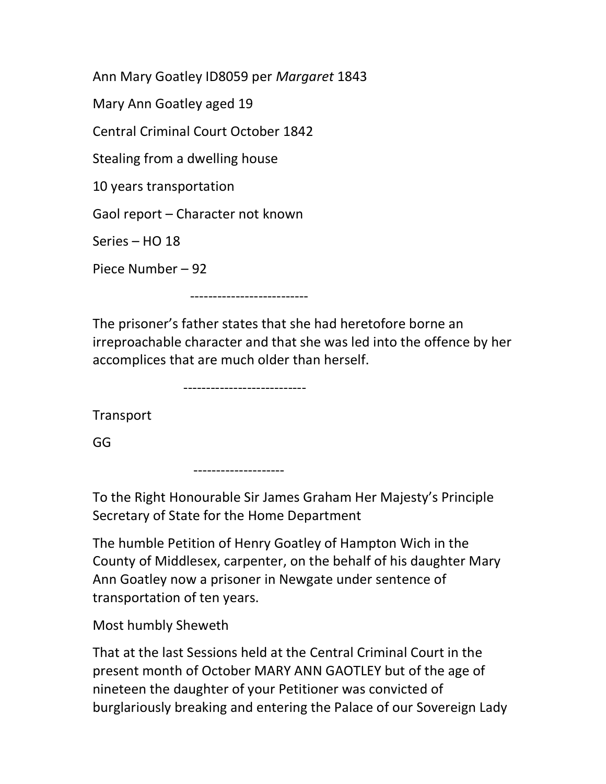Ann Mary Goatley ID8059 per Margaret 1843 Mary Ann Goatley aged 19 Central Criminal Court October 1842 Stealing from a dwelling house 10 years transportation Gaol report – Character not known Series – HO 18 Piece Number – 92

--------------------------

The prisoner's father states that she had heretofore borne an irreproachable character and that she was led into the offence by her accomplices that are much older than herself.

---------------------------

**Transport** 

GG

--------------------

To the Right Honourable Sir James Graham Her Majesty's Principle Secretary of State for the Home Department

The humble Petition of Henry Goatley of Hampton Wich in the County of Middlesex, carpenter, on the behalf of his daughter Mary Ann Goatley now a prisoner in Newgate under sentence of transportation of ten years.

Most humbly Sheweth

That at the last Sessions held at the Central Criminal Court in the present month of October MARY ANN GAOTLEY but of the age of nineteen the daughter of your Petitioner was convicted of burglariously breaking and entering the Palace of our Sovereign Lady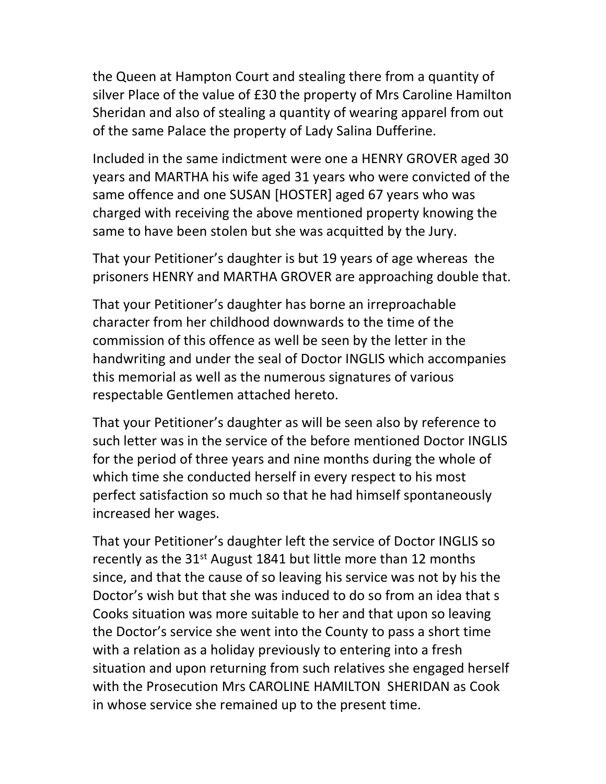the Queen at Hampton Court and stealing there from a quantity of silver Place of the value of £30 the property of Mrs Caroline Hamilton Sheridan and also of stealing a quantity of wearing apparel from out of the same Palace the property of Lady Salina Dufferine.

Included in the same indictment were one a HENRY GROVER aged 30 years and MARTHA his wife aged 31 years who were convicted of the same offence and one SUSAN [HOSTER] aged 67 years who was charged with receiving the above mentioned property knowing the same to have been stolen but she was acquitted by the Jury.

That your Petitioner's daughter is but 19 years of age whereas the prisoners HENRY and MARTHA GROVER are approaching double that.

That your Petitioner's daughter has borne an irreproachable character from her childhood downwards to the time of the commission of this offence as well be seen by the letter in the handwriting and under the seal of Doctor INGLIS which accompanies this memorial as well as the numerous signatures of various respectable Gentlemen attached hereto.

That your Petitioner's daughter as will be seen also by reference to such letter was in the service of the before mentioned Doctor INGLIS for the period of three years and nine months during the whole of which time she conducted herself in every respect to his most perfect satisfaction so much so that he had himself spontaneously increased her wages.

That your Petitioner's daughter left the service of Doctor INGLIS so recently as the 31<sup>st</sup> August 1841 but little more than 12 months since, and that the cause of so leaving his service was not by his the Doctor's wish but that she was induced to do so from an idea that s Cooks situation was more suitable to her and that upon so leaving the Doctor's service she went into the County to pass a short time with a relation as a holiday previously to entering into a fresh situation and upon returning from such relatives she engaged herself with the Prosecution Mrs CAROLINE HAMILTON SHERIDAN as Cook in whose service she remained up to the present time.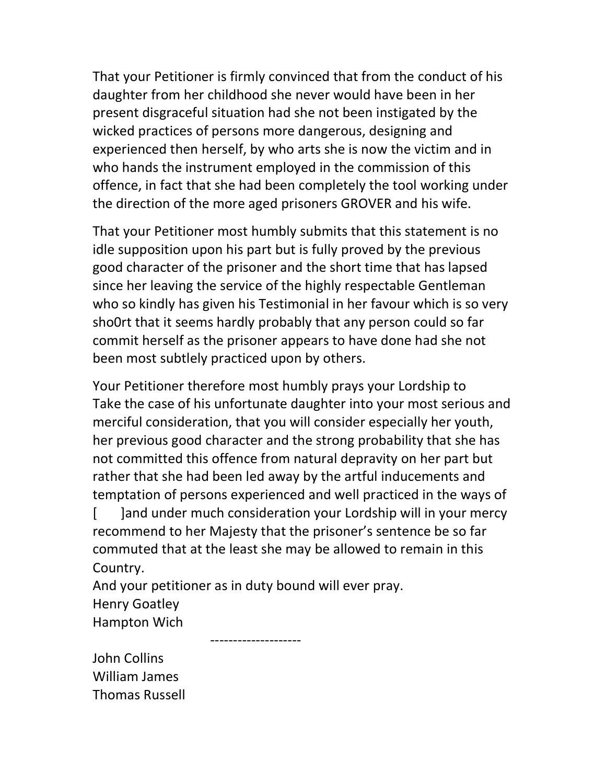That your Petitioner is firmly convinced that from the conduct of his daughter from her childhood she never would have been in her present disgraceful situation had she not been instigated by the wicked practices of persons more dangerous, designing and experienced then herself, by who arts she is now the victim and in who hands the instrument employed in the commission of this offence, in fact that she had been completely the tool working under the direction of the more aged prisoners GROVER and his wife.

That your Petitioner most humbly submits that this statement is no idle supposition upon his part but is fully proved by the previous good character of the prisoner and the short time that has lapsed since her leaving the service of the highly respectable Gentleman who so kindly has given his Testimonial in her favour which is so very sho0rt that it seems hardly probably that any person could so far commit herself as the prisoner appears to have done had she not been most subtlely practiced upon by others.

Your Petitioner therefore most humbly prays your Lordship to Take the case of his unfortunate daughter into your most serious and merciful consideration, that you will consider especially her youth, her previous good character and the strong probability that she has not committed this offence from natural depravity on her part but rather that she had been led away by the artful inducements and temptation of persons experienced and well practiced in the ways of [ ]and under much consideration your Lordship will in your mercy recommend to her Majesty that the prisoner's sentence be so far commuted that at the least she may be allowed to remain in this Country.

And your petitioner as in duty bound will ever pray. Henry Goatley Hampton Wich

--------------------

John Collins William James Thomas Russell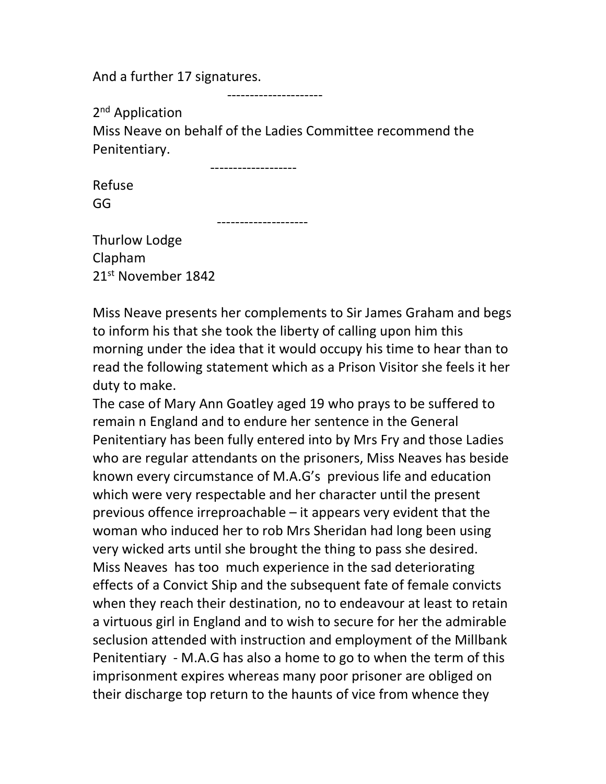And a further 17 signatures.

---------------------

2<sup>nd</sup> Application

Miss Neave on behalf of the Ladies Committee recommend the Penitentiary.

-------------------

--------------------

Refuse GG

Thurlow Lodge Clapham 21st November 1842

Miss Neave presents her complements to Sir James Graham and begs to inform his that she took the liberty of calling upon him this morning under the idea that it would occupy his time to hear than to read the following statement which as a Prison Visitor she feels it her duty to make.

The case of Mary Ann Goatley aged 19 who prays to be suffered to remain n England and to endure her sentence in the General Penitentiary has been fully entered into by Mrs Fry and those Ladies who are regular attendants on the prisoners, Miss Neaves has beside known every circumstance of M.A.G's previous life and education which were very respectable and her character until the present previous offence irreproachable – it appears very evident that the woman who induced her to rob Mrs Sheridan had long been using very wicked arts until she brought the thing to pass she desired. Miss Neaves has too much experience in the sad deteriorating effects of a Convict Ship and the subsequent fate of female convicts when they reach their destination, no to endeavour at least to retain a virtuous girl in England and to wish to secure for her the admirable seclusion attended with instruction and employment of the Millbank Penitentiary - M.A.G has also a home to go to when the term of this imprisonment expires whereas many poor prisoner are obliged on their discharge top return to the haunts of vice from whence they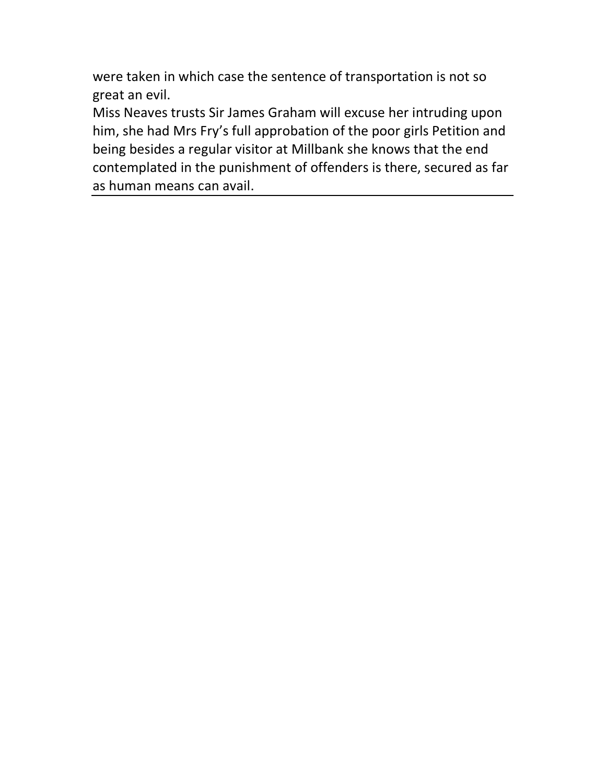were taken in which case the sentence of transportation is not so great an evil.

Miss Neaves trusts Sir James Graham will excuse her intruding upon him, she had Mrs Fry's full approbation of the poor girls Petition and being besides a regular visitor at Millbank she knows that the end contemplated in the punishment of offenders is there, secured as far as human means can avail.